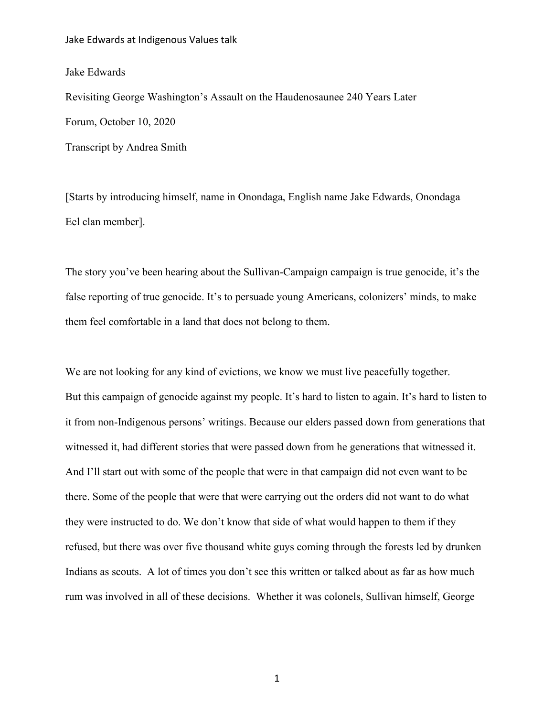#### Jake Edwards

Revisiting George Washington's Assault on the Haudenosaunee 240 Years Later Forum, October 10, 2020 Transcript by Andrea Smith

[Starts by introducing himself, name in Onondaga, English name Jake Edwards, Onondaga Eel clan member].

The story you've been hearing about the Sullivan-Campaign campaign is true genocide, it's the false reporting of true genocide. It's to persuade young Americans, colonizers' minds, to make them feel comfortable in a land that does not belong to them.

We are not looking for any kind of evictions, we know we must live peacefully together. But this campaign of genocide against my people. It's hard to listen to again. It's hard to listen to it from non-Indigenous persons' writings. Because our elders passed down from generations that witnessed it, had different stories that were passed down from he generations that witnessed it. And I'll start out with some of the people that were in that campaign did not even want to be there. Some of the people that were that were carrying out the orders did not want to do what they were instructed to do. We don't know that side of what would happen to them if they refused, but there was over five thousand white guys coming through the forests led by drunken Indians as scouts. A lot of times you don't see this written or talked about as far as how much rum was involved in all of these decisions. Whether it was colonels, Sullivan himself, George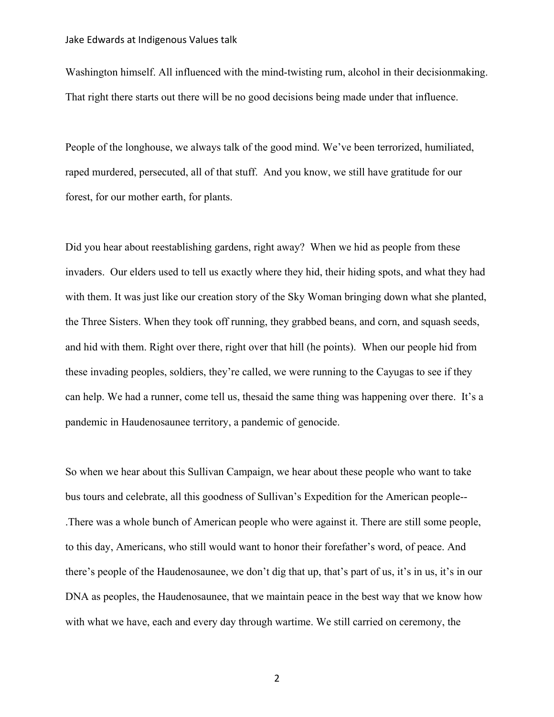Washington himself. All influenced with the mind-twisting rum, alcohol in their decisionmaking. That right there starts out there will be no good decisions being made under that influence.

People of the longhouse, we always talk of the good mind. We've been terrorized, humiliated, raped murdered, persecuted, all of that stuff. And you know, we still have gratitude for our forest, for our mother earth, for plants.

Did you hear about reestablishing gardens, right away? When we hid as people from these invaders. Our elders used to tell us exactly where they hid, their hiding spots, and what they had with them. It was just like our creation story of the Sky Woman bringing down what she planted, the Three Sisters. When they took off running, they grabbed beans, and corn, and squash seeds, and hid with them. Right over there, right over that hill (he points). When our people hid from these invading peoples, soldiers, they're called, we were running to the Cayugas to see if they can help. We had a runner, come tell us, thesaid the same thing was happening over there. It's a pandemic in Haudenosaunee territory, a pandemic of genocide.

So when we hear about this Sullivan Campaign, we hear about these people who want to take bus tours and celebrate, all this goodness of Sullivan's Expedition for the American people-- .There was a whole bunch of American people who were against it. There are still some people, to this day, Americans, who still would want to honor their forefather's word, of peace. And there's people of the Haudenosaunee, we don't dig that up, that's part of us, it's in us, it's in our DNA as peoples, the Haudenosaunee, that we maintain peace in the best way that we know how with what we have, each and every day through wartime. We still carried on ceremony, the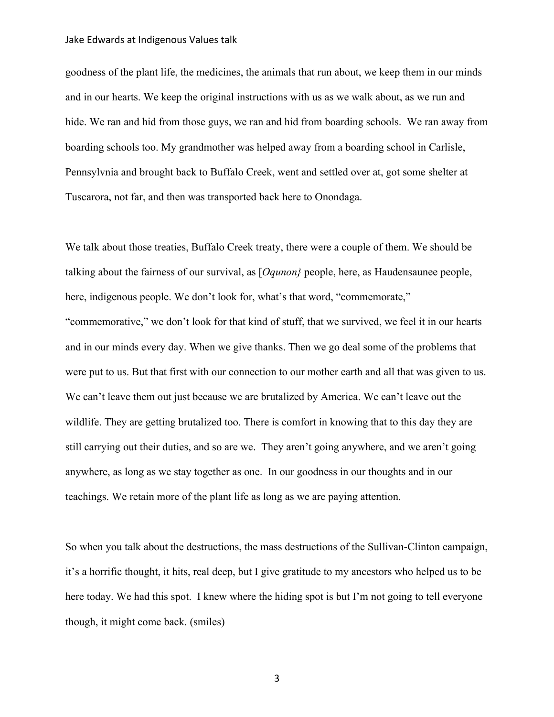goodness of the plant life, the medicines, the animals that run about, we keep them in our minds and in our hearts. We keep the original instructions with us as we walk about, as we run and hide. We ran and hid from those guys, we ran and hid from boarding schools. We ran away from boarding schools too. My grandmother was helped away from a boarding school in Carlisle, Pennsylvnia and brought back to Buffalo Creek, went and settled over at, got some shelter at Tuscarora, not far, and then was transported back here to Onondaga.

We talk about those treaties, Buffalo Creek treaty, there were a couple of them. We should be talking about the fairness of our survival, as [*Oqunon}* people, here, as Haudensaunee people, here, indigenous people. We don't look for, what's that word, "commemorate," "commemorative," we don't look for that kind of stuff, that we survived, we feel it in our hearts and in our minds every day. When we give thanks. Then we go deal some of the problems that were put to us. But that first with our connection to our mother earth and all that was given to us. We can't leave them out just because we are brutalized by America. We can't leave out the wildlife. They are getting brutalized too. There is comfort in knowing that to this day they are still carrying out their duties, and so are we. They aren't going anywhere, and we aren't going anywhere, as long as we stay together as one. In our goodness in our thoughts and in our teachings. We retain more of the plant life as long as we are paying attention.

So when you talk about the destructions, the mass destructions of the Sullivan-Clinton campaign, it's a horrific thought, it hits, real deep, but I give gratitude to my ancestors who helped us to be here today. We had this spot. I knew where the hiding spot is but I'm not going to tell everyone though, it might come back. (smiles)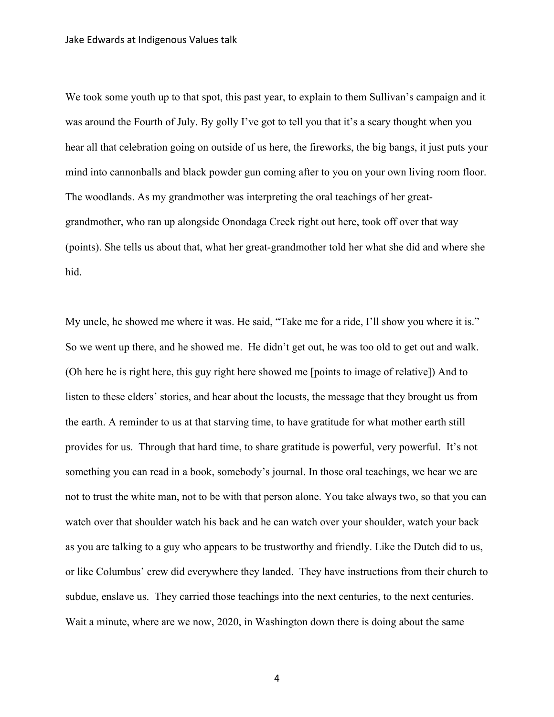We took some youth up to that spot, this past year, to explain to them Sullivan's campaign and it was around the Fourth of July. By golly I've got to tell you that it's a scary thought when you hear all that celebration going on outside of us here, the fireworks, the big bangs, it just puts your mind into cannonballs and black powder gun coming after to you on your own living room floor. The woodlands. As my grandmother was interpreting the oral teachings of her greatgrandmother, who ran up alongside Onondaga Creek right out here, took off over that way (points). She tells us about that, what her great-grandmother told her what she did and where she hid.

My uncle, he showed me where it was. He said, "Take me for a ride, I'll show you where it is." So we went up there, and he showed me. He didn't get out, he was too old to get out and walk. (Oh here he is right here, this guy right here showed me [points to image of relative]) And to listen to these elders' stories, and hear about the locusts, the message that they brought us from the earth. A reminder to us at that starving time, to have gratitude for what mother earth still provides for us. Through that hard time, to share gratitude is powerful, very powerful. It's not something you can read in a book, somebody's journal. In those oral teachings, we hear we are not to trust the white man, not to be with that person alone. You take always two, so that you can watch over that shoulder watch his back and he can watch over your shoulder, watch your back as you are talking to a guy who appears to be trustworthy and friendly. Like the Dutch did to us, or like Columbus' crew did everywhere they landed. They have instructions from their church to subdue, enslave us. They carried those teachings into the next centuries, to the next centuries. Wait a minute, where are we now, 2020, in Washington down there is doing about the same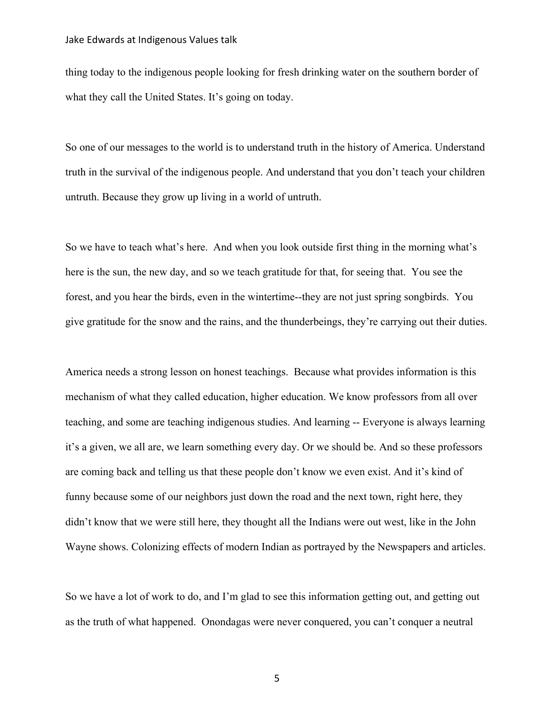thing today to the indigenous people looking for fresh drinking water on the southern border of what they call the United States. It's going on today.

So one of our messages to the world is to understand truth in the history of America. Understand truth in the survival of the indigenous people. And understand that you don't teach your children untruth. Because they grow up living in a world of untruth.

So we have to teach what's here. And when you look outside first thing in the morning what's here is the sun, the new day, and so we teach gratitude for that, for seeing that. You see the forest, and you hear the birds, even in the wintertime--they are not just spring songbirds. You give gratitude for the snow and the rains, and the thunderbeings, they're carrying out their duties.

America needs a strong lesson on honest teachings. Because what provides information is this mechanism of what they called education, higher education. We know professors from all over teaching, and some are teaching indigenous studies. And learning -- Everyone is always learning it's a given, we all are, we learn something every day. Or we should be. And so these professors are coming back and telling us that these people don't know we even exist. And it's kind of funny because some of our neighbors just down the road and the next town, right here, they didn't know that we were still here, they thought all the Indians were out west, like in the John Wayne shows. Colonizing effects of modern Indian as portrayed by the Newspapers and articles.

So we have a lot of work to do, and I'm glad to see this information getting out, and getting out as the truth of what happened. Onondagas were never conquered, you can't conquer a neutral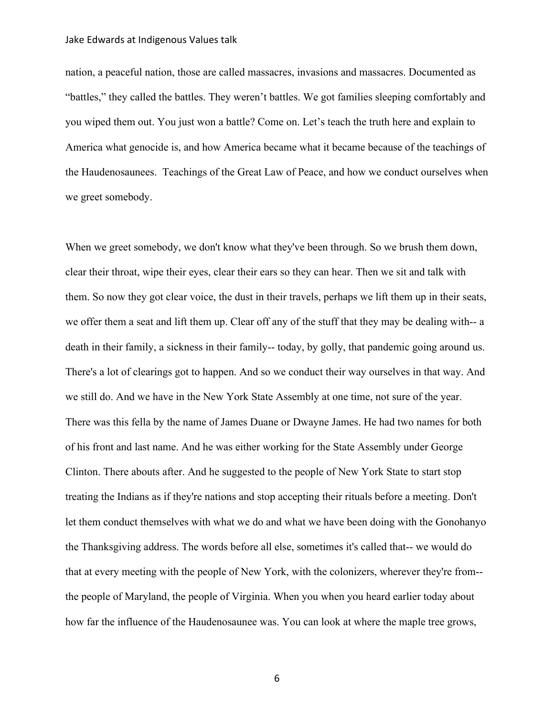nation, a peaceful nation, those are called massacres, invasions and massacres. Documented as "battles," they called the battles. They weren't battles. We got families sleeping comfortably and you wiped them out. You just won a battle? Come on. Let's teach the truth here and explain to America what genocide is, and how America became what it became because of the teachings of the Haudenosaunees. Teachings of the Great Law of Peace, and how we conduct ourselves when we greet somebody.

When we greet somebody, we don't know what they've been through. So we brush them down, clear their throat, wipe their eyes, clear their ears so they can hear. Then we sit and talk with them. So now they got clear voice, the dust in their travels, perhaps we lift them up in their seats, we offer them a seat and lift them up. Clear off any of the stuff that they may be dealing with-- a death in their family, a sickness in their family-- today, by golly, that pandemic going around us. There's a lot of clearings got to happen. And so we conduct their way ourselves in that way. And we still do. And we have in the New York State Assembly at one time, not sure of the year. There was this fella by the name of James Duane or Dwayne James. He had two names for both of his front and last name. And he was either working for the State Assembly under George Clinton. There abouts after. And he suggested to the people of New York State to start stop treating the Indians as if they're nations and stop accepting their rituals before a meeting. Don't let them conduct themselves with what we do and what we have been doing with the Gonohanyo the Thanksgiving address. The words before all else, sometimes it's called that-- we would do that at every meeting with the people of New York, with the colonizers, wherever they're from- the people of Maryland, the people of Virginia. When you when you heard earlier today about how far the influence of the Haudenosaunee was. You can look at where the maple tree grows,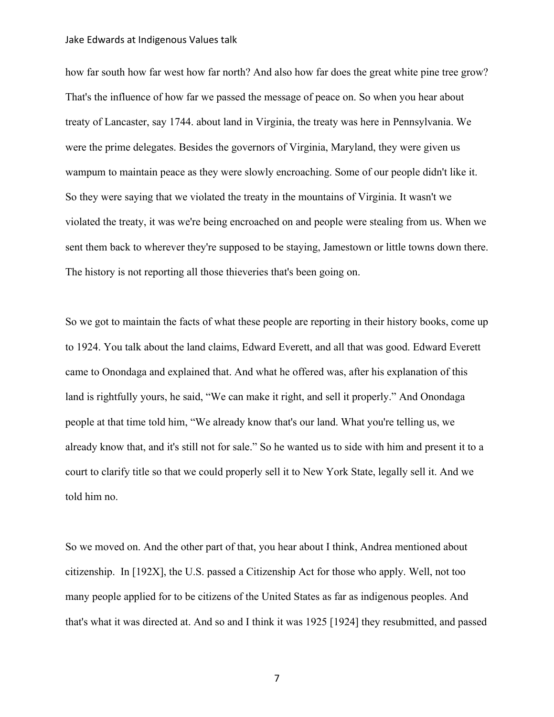how far south how far west how far north? And also how far does the great white pine tree grow? That's the influence of how far we passed the message of peace on. So when you hear about treaty of Lancaster, say 1744. about land in Virginia, the treaty was here in Pennsylvania. We were the prime delegates. Besides the governors of Virginia, Maryland, they were given us wampum to maintain peace as they were slowly encroaching. Some of our people didn't like it. So they were saying that we violated the treaty in the mountains of Virginia. It wasn't we violated the treaty, it was we're being encroached on and people were stealing from us. When we sent them back to wherever they're supposed to be staying, Jamestown or little towns down there. The history is not reporting all those thieveries that's been going on.

So we got to maintain the facts of what these people are reporting in their history books, come up to 1924. You talk about the land claims, Edward Everett, and all that was good. Edward Everett came to Onondaga and explained that. And what he offered was, after his explanation of this land is rightfully yours, he said, "We can make it right, and sell it properly." And Onondaga people at that time told him, "We already know that's our land. What you're telling us, we already know that, and it's still not for sale." So he wanted us to side with him and present it to a court to clarify title so that we could properly sell it to New York State, legally sell it. And we told him no.

So we moved on. And the other part of that, you hear about I think, Andrea mentioned about citizenship. In [192X], the U.S. passed a Citizenship Act for those who apply. Well, not too many people applied for to be citizens of the United States as far as indigenous peoples. And that's what it was directed at. And so and I think it was 1925 [1924] they resubmitted, and passed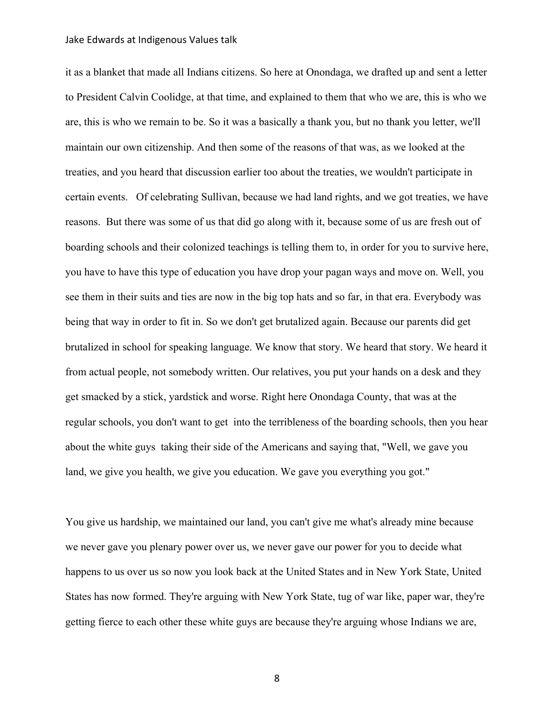it as a blanket that made all Indians citizens. So here at Onondaga, we drafted up and sent a letter to President Calvin Coolidge, at that time, and explained to them that who we are, this is who we are, this is who we remain to be. So it was a basically a thank you, but no thank you letter, we'll maintain our own citizenship. And then some of the reasons of that was, as we looked at the treaties, and you heard that discussion earlier too about the treaties, we wouldn't participate in certain events. Of celebrating Sullivan, because we had land rights, and we got treaties, we have reasons. But there was some of us that did go along with it, because some of us are fresh out of boarding schools and their colonized teachings is telling them to, in order for you to survive here, you have to have this type of education you have drop your pagan ways and move on. Well, you see them in their suits and ties are now in the big top hats and so far, in that era. Everybody was being that way in order to fit in. So we don't get brutalized again. Because our parents did get brutalized in school for speaking language. We know that story. We heard that story. We heard it from actual people, not somebody written. Our relatives, you put your hands on a desk and they get smacked by a stick, yardstick and worse. Right here Onondaga County, that was at the regular schools, you don't want to get into the terribleness of the boarding schools, then you hear about the white guys taking their side of the Americans and saying that, "Well, we gave you land, we give you health, we give you education. We gave you everything you got."

You give us hardship, we maintained our land, you can't give me what's already mine because we never gave you plenary power over us, we never gave our power for you to decide what happens to us over us so now you look back at the United States and in New York State, United States has now formed. They're arguing with New York State, tug of war like, paper war, they're getting fierce to each other these white guys are because they're arguing whose Indians we are,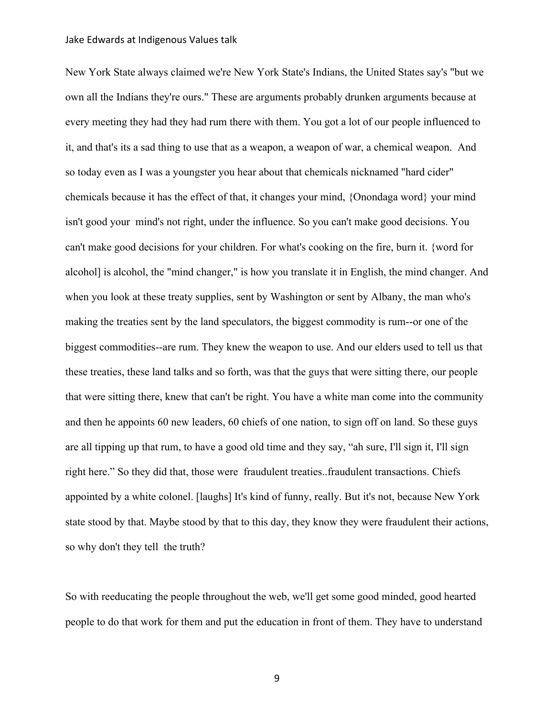New York State always claimed we're New York State's Indians, the United States say's "but we own all the Indians they're ours." These are arguments probably drunken arguments because at every meeting they had they had rum there with them. You got a lot of our people influenced to it, and that's its a sad thing to use that as a weapon, a weapon of war, a chemical weapon. And so today even as I was a youngster you hear about that chemicals nicknamed "hard cider" chemicals because it has the effect of that, it changes your mind, {Onondaga word} your mind isn't good your mind's not right, under the influence. So you can't make good decisions. You can't make good decisions for your children. For what's cooking on the fire, burn it. {word for alcohol] is alcohol, the "mind changer," is how you translate it in English, the mind changer. And when you look at these treaty supplies, sent by Washington or sent by Albany, the man who's making the treaties sent by the land speculators, the biggest commodity is rum--or one of the biggest commodities--are rum. They knew the weapon to use. And our elders used to tell us that these treaties, these land talks and so forth, was that the guys that were sitting there, our people that were sitting there, knew that can't be right. You have a white man come into the community and then he appoints 60 new leaders, 60 chiefs of one nation, to sign off on land. So these guys are all tipping up that rum, to have a good old time and they say, "ah sure, I'll sign it, I'll sign right here." So they did that, those were fraudulent treaties..fraudulent transactions. Chiefs appointed by a white colonel. [laughs] It's kind of funny, really. But it's not, because New York state stood by that. Maybe stood by that to this day, they know they were fraudulent their actions, so why don't they tell the truth?

So with reeducating the people throughout the web, we'll get some good minded, good hearted people to do that work for them and put the education in front of them. They have to understand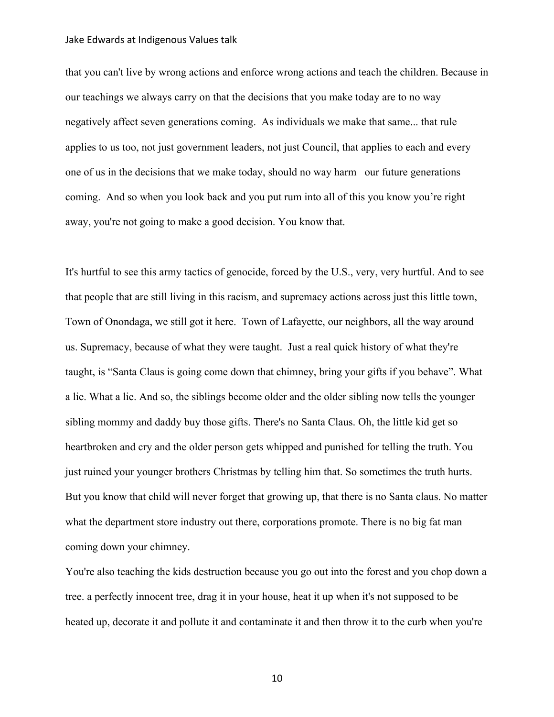that you can't live by wrong actions and enforce wrong actions and teach the children. Because in our teachings we always carry on that the decisions that you make today are to no way negatively affect seven generations coming. As individuals we make that same... that rule applies to us too, not just government leaders, not just Council, that applies to each and every one of us in the decisions that we make today, should no way harm our future generations coming. And so when you look back and you put rum into all of this you know you're right away, you're not going to make a good decision. You know that.

It's hurtful to see this army tactics of genocide, forced by the U.S., very, very hurtful. And to see that people that are still living in this racism, and supremacy actions across just this little town, Town of Onondaga, we still got it here. Town of Lafayette, our neighbors, all the way around us. Supremacy, because of what they were taught. Just a real quick history of what they're taught, is "Santa Claus is going come down that chimney, bring your gifts if you behave". What a lie. What a lie. And so, the siblings become older and the older sibling now tells the younger sibling mommy and daddy buy those gifts. There's no Santa Claus. Oh, the little kid get so heartbroken and cry and the older person gets whipped and punished for telling the truth. You just ruined your younger brothers Christmas by telling him that. So sometimes the truth hurts. But you know that child will never forget that growing up, that there is no Santa claus. No matter what the department store industry out there, corporations promote. There is no big fat man coming down your chimney.

You're also teaching the kids destruction because you go out into the forest and you chop down a tree. a perfectly innocent tree, drag it in your house, heat it up when it's not supposed to be heated up, decorate it and pollute it and contaminate it and then throw it to the curb when you're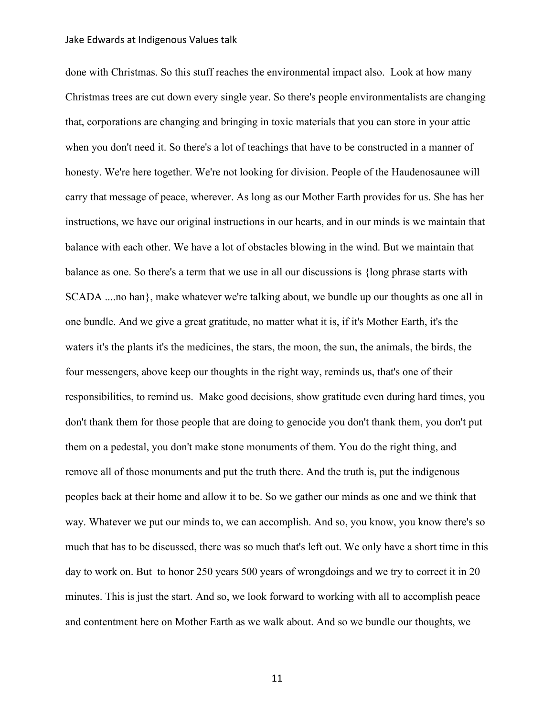done with Christmas. So this stuff reaches the environmental impact also. Look at how many Christmas trees are cut down every single year. So there's people environmentalists are changing that, corporations are changing and bringing in toxic materials that you can store in your attic when you don't need it. So there's a lot of teachings that have to be constructed in a manner of honesty. We're here together. We're not looking for division. People of the Haudenosaunee will carry that message of peace, wherever. As long as our Mother Earth provides for us. She has her instructions, we have our original instructions in our hearts, and in our minds is we maintain that balance with each other. We have a lot of obstacles blowing in the wind. But we maintain that balance as one. So there's a term that we use in all our discussions is {long phrase starts with SCADA ....no han}, make whatever we're talking about, we bundle up our thoughts as one all in one bundle. And we give a great gratitude, no matter what it is, if it's Mother Earth, it's the waters it's the plants it's the medicines, the stars, the moon, the sun, the animals, the birds, the four messengers, above keep our thoughts in the right way, reminds us, that's one of their responsibilities, to remind us. Make good decisions, show gratitude even during hard times, you don't thank them for those people that are doing to genocide you don't thank them, you don't put them on a pedestal, you don't make stone monuments of them. You do the right thing, and remove all of those monuments and put the truth there. And the truth is, put the indigenous peoples back at their home and allow it to be. So we gather our minds as one and we think that way. Whatever we put our minds to, we can accomplish. And so, you know, you know there's so much that has to be discussed, there was so much that's left out. We only have a short time in this day to work on. But to honor 250 years 500 years of wrongdoings and we try to correct it in 20 minutes. This is just the start. And so, we look forward to working with all to accomplish peace and contentment here on Mother Earth as we walk about. And so we bundle our thoughts, we